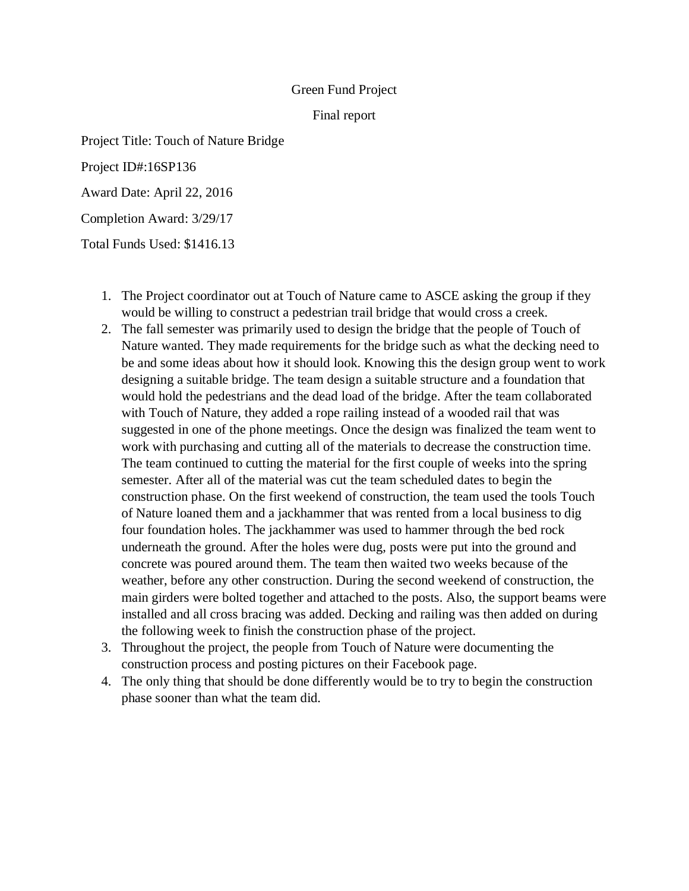## Green Fund Project

## Final report

Project Title: Touch of Nature Bridge

Project ID#:16SP136

Award Date: April 22, 2016

Completion Award: 3/29/17

Total Funds Used: \$1416.13

- 1. The Project coordinator out at Touch of Nature came to ASCE asking the group if they would be willing to construct a pedestrian trail bridge that would cross a creek.
- 2. The fall semester was primarily used to design the bridge that the people of Touch of Nature wanted. They made requirements for the bridge such as what the decking need to be and some ideas about how it should look. Knowing this the design group went to work designing a suitable bridge. The team design a suitable structure and a foundation that would hold the pedestrians and the dead load of the bridge. After the team collaborated with Touch of Nature, they added a rope railing instead of a wooded rail that was suggested in one of the phone meetings. Once the design was finalized the team went to work with purchasing and cutting all of the materials to decrease the construction time. The team continued to cutting the material for the first couple of weeks into the spring semester. After all of the material was cut the team scheduled dates to begin the construction phase. On the first weekend of construction, the team used the tools Touch of Nature loaned them and a jackhammer that was rented from a local business to dig four foundation holes. The jackhammer was used to hammer through the bed rock underneath the ground. After the holes were dug, posts were put into the ground and concrete was poured around them. The team then waited two weeks because of the weather, before any other construction. During the second weekend of construction, the main girders were bolted together and attached to the posts. Also, the support beams were installed and all cross bracing was added. Decking and railing was then added on during the following week to finish the construction phase of the project.
- 3. Throughout the project, the people from Touch of Nature were documenting the construction process and posting pictures on their Facebook page.
- 4. The only thing that should be done differently would be to try to begin the construction phase sooner than what the team did.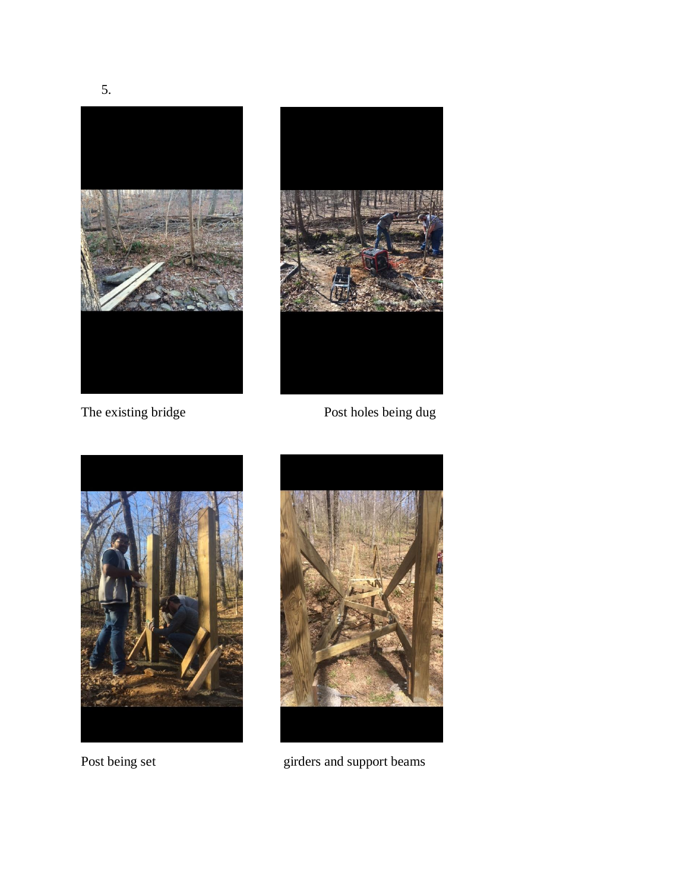

The existing bridge Post holes being dug





Post being set girders and support beams